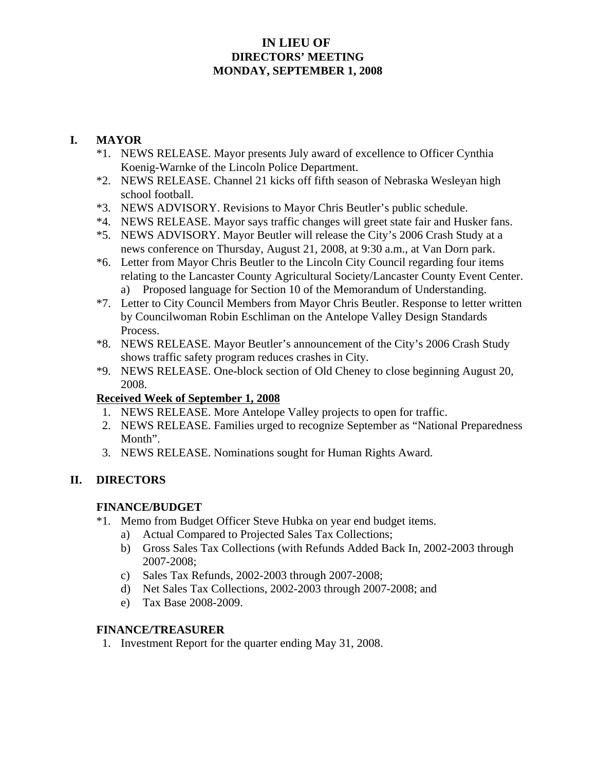### **IN LIEU OF DIRECTORS' MEETING MONDAY, SEPTEMBER 1, 2008**

### **I. MAYOR**

- \*1. NEWS RELEASE. Mayor presents July award of excellence to Officer Cynthia Koenig-Warnke of the Lincoln Police Department.
- \*2. NEWS RELEASE. Channel 21 kicks off fifth season of Nebraska Wesleyan high school football.
- \*3. NEWS ADVISORY. Revisions to Mayor Chris Beutler's public schedule.
- \*4. NEWS RELEASE. Mayor says traffic changes will greet state fair and Husker fans.
- \*5. NEWS ADVISORY. Mayor Beutler will release the City's 2006 Crash Study at a news conference on Thursday, August 21, 2008, at 9:30 a.m., at Van Dorn park.
- \*6. Letter from Mayor Chris Beutler to the Lincoln City Council regarding four items relating to the Lancaster County Agricultural Society/Lancaster County Event Center. a) Proposed language for Section 10 of the Memorandum of Understanding.
- \*7. Letter to City Council Members from Mayor Chris Beutler. Response to letter written by Councilwoman Robin Eschliman on the Antelope Valley Design Standards Process.
- \*8. NEWS RELEASE. Mayor Beutler's announcement of the City's 2006 Crash Study shows traffic safety program reduces crashes in City.
- \*9. NEWS RELEASE. One-block section of Old Cheney to close beginning August 20, 2008.

#### **Received Week of September 1, 2008**

- 1. NEWS RELEASE. More Antelope Valley projects to open for traffic.
- 2. NEWS RELEASE. Families urged to recognize September as "National Preparedness Month".
- 3. NEWS RELEASE. Nominations sought for Human Rights Award.

#### **II. DIRECTORS**

#### **FINANCE/BUDGET**

- \*1. Memo from Budget Officer Steve Hubka on year end budget items.
	- a) Actual Compared to Projected Sales Tax Collections;
	- b) Gross Sales Tax Collections (with Refunds Added Back In, 2002-2003 through 2007-2008;
	- c) Sales Tax Refunds, 2002-2003 through 2007-2008;
	- d) Net Sales Tax Collections, 2002-2003 through 2007-2008; and
	- e) Tax Base 2008-2009.

#### **FINANCE/TREASURER**

1. Investment Report for the quarter ending May 31, 2008.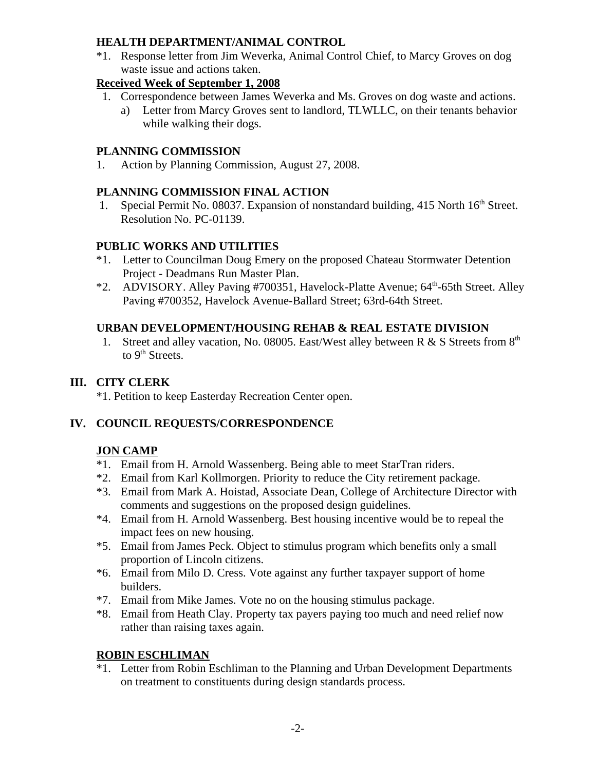#### **HEALTH DEPARTMENT/ANIMAL CONTROL**

\*1. Response letter from Jim Weverka, Animal Control Chief, to Marcy Groves on dog waste issue and actions taken.

### **Received Week of September 1, 2008**

- 1. Correspondence between James Weverka and Ms. Groves on dog waste and actions.
	- a) Letter from Marcy Groves sent to landlord, TLWLLC, on their tenants behavior while walking their dogs.

### **PLANNING COMMISSION**

1. Action by Planning Commission, August 27, 2008.

## **PLANNING COMMISSION FINAL ACTION**

1. Special Permit No. 08037. Expansion of nonstandard building, 415 North 16<sup>th</sup> Street. Resolution No. PC-01139.

## **PUBLIC WORKS AND UTILITIES**

- \*1. Letter to Councilman Doug Emery on the proposed Chateau Stormwater Detention Project - Deadmans Run Master Plan.
- \*2. ADVISORY. Alley Paving #700351, Havelock-Platte Avenue; 64<sup>th</sup>-65th Street. Alley Paving #700352, Havelock Avenue-Ballard Street; 63rd-64th Street.

### **URBAN DEVELOPMENT/HOUSING REHAB & REAL ESTATE DIVISION**

1. Street and alley vacation, No. 08005. East/West alley between R & S Streets from 8<sup>th</sup> to  $9<sup>th</sup>$  Streets.

## **III. CITY CLERK**

\*1. Petition to keep Easterday Recreation Center open.

## **IV. COUNCIL REQUESTS/CORRESPONDENCE**

## **JON CAMP**

- \*1. Email from H. Arnold Wassenberg. Being able to meet StarTran riders.
- \*2. Email from Karl Kollmorgen. Priority to reduce the City retirement package.
- \*3. Email from Mark A. Hoistad, Associate Dean, College of Architecture Director with comments and suggestions on the proposed design guidelines.
- \*4. Email from H. Arnold Wassenberg. Best housing incentive would be to repeal the impact fees on new housing.
- \*5. Email from James Peck. Object to stimulus program which benefits only a small proportion of Lincoln citizens.
- \*6. Email from Milo D. Cress. Vote against any further taxpayer support of home builders.
- \*7. Email from Mike James. Vote no on the housing stimulus package.
- \*8. Email from Heath Clay. Property tax payers paying too much and need relief now rather than raising taxes again.

# **ROBIN ESCHLIMAN**

\*1. Letter from Robin Eschliman to the Planning and Urban Development Departments on treatment to constituents during design standards process.